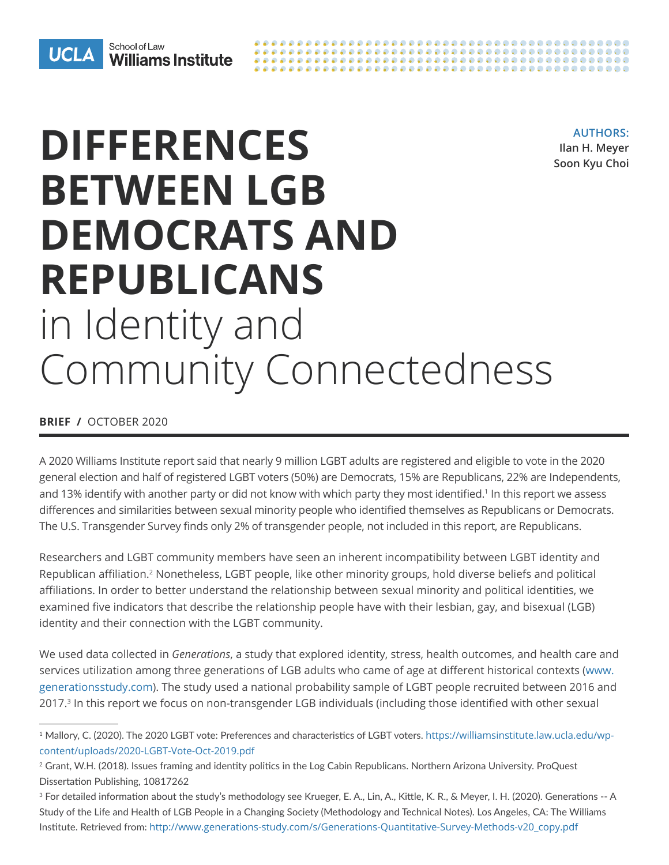

**AUTHORS: Ilan H. Meyer Soon Kyu Choi**

# **DIFFERENCES BETWEEN LGB DEMOCRATS AND REPUBLICANS**  in Identity and Community Connectedness

**BRIEF /** OCTOBER 2020

A 2020 Williams Institute report said that nearly 9 million LGBT adults are registered and eligible to vote in the 2020 general election and half of registered LGBT voters (50%) are Democrats, 15% are Republicans, 22% are Independents, and 13% identify with another party or did not know with which party they most identified.<sup>1</sup> In this report we assess differences and similarities between sexual minority people who identified themselves as Republicans or Democrats. The U.S. Transgender Survey finds only 2% of transgender people, not included in this report, are Republicans.

Researchers and LGBT community members have seen an inherent incompatibility between LGBT identity and Republican affiliation.2 Nonetheless, LGBT people, like other minority groups, hold diverse beliefs and political affiliations. In order to better understand the relationship between sexual minority and political identities, we examined five indicators that describe the relationship people have with their lesbian, gay, and bisexual (LGB) identity and their connection with the LGBT community.

We used data collected in *Generations*, a study that explored identity, stress, health outcomes, and health care and services utilization among three generations of LGB adults who came of age at different historical contexts [\(www.](http://www.generationsstudy.com) [generationsstudy.com\)](http://www.generationsstudy.com). The study used a national probability sample of LGBT people recruited between 2016 and 2017.<sup>3</sup> In this report we focus on non-transgender LGB individuals (including those identified with other sexual

<sup>1</sup> Mallory, C. (2020). The 2020 LGBT vote: Preferences and characteristics of LGBT voters. [https://williamsinstitute.law.ucla.edu/wp](https://williamsinstitute.law.ucla.edu/wp-content/uploads/2020-LGBT-Vote-Oct-2019.pdf)[content/uploads/2020-LGBT-Vote-Oct-2019.pdf](https://williamsinstitute.law.ucla.edu/wp-content/uploads/2020-LGBT-Vote-Oct-2019.pdf)

<sup>&</sup>lt;sup>2</sup> Grant, W.H. (2018). Issues framing and identity politics in the Log Cabin Republicans. Northern Arizona University. ProQuest Dissertation Publishing, 10817262

<sup>&</sup>lt;sup>3</sup> For detailed information about the study's methodology see Krueger, E. A., Lin, A., Kittle, K. R., & Meyer, I. H. (2020). Generations -- A Study of the Life and Health of LGB People in a Changing Society (Methodology and Technical Notes). Los Angeles, CA: The Williams Institute. Retrieved from: [http://www.generations-study.com/s/Generations-Quantitative-Survey-Methods-v20\\_copy.pdf](http://www.generations-study.com/s/Generations-Quantitative-Survey-Methods-v20_copy.pdf)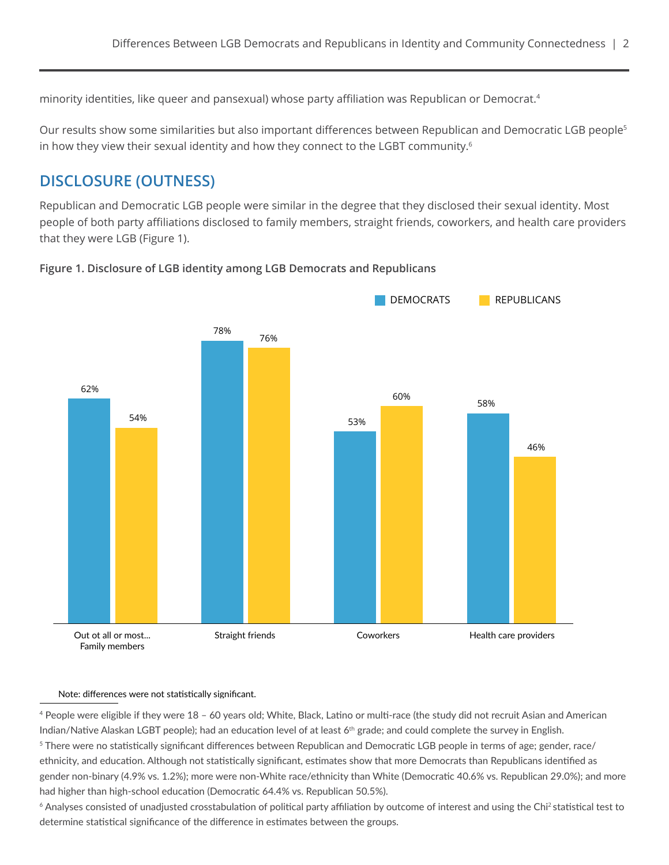minority identities, like queer and pansexual) whose party affiliation was Republican or Democrat.<sup>4</sup>

Our results show some similarities but also important differences between Republican and Democratic LGB people<sup>5</sup> in how they view their sexual identity and how they connect to the LGBT community.<sup>6</sup>

## **DISCLOSURE (OUTNESS)**

Republican and Democratic LGB people were similar in the degree that they disclosed their sexual identity. Most people of both party affiliations disclosed to family members, straight friends, coworkers, and health care providers that they were LGB (Figure 1).



#### **Figure 1. Disclosure of LGB identity among LGB Democrats and Republicans**

#### Note: differences were not statistically significant.

<sup>4</sup> People were eligible if they were 18 – 60 years old; White, Black, Latino or multi-race (the study did not recruit Asian and American Indian/Native Alaskan LGBT people); had an education level of at least 6th grade; and could complete the survey in English. <sup>5</sup> There were no statistically significant differences between Republican and Democratic LGB people in terms of age; gender, race/ ethnicity, and education. Although not statistically significant, estimates show that more Democrats than Republicans identified as gender non-binary (4.9% vs. 1.2%); more were non-White race/ethnicity than White (Democratic 40.6% vs. Republican 29.0%); and more had higher than high-school education (Democratic 64.4% vs. Republican 50.5%).

<sup>6</sup> Analyses consisted of unadjusted crosstabulation of political party affiliation by outcome of interest and using the Chi<sup>2</sup> statistical test to determine statistical significance of the difference in estimates between the groups.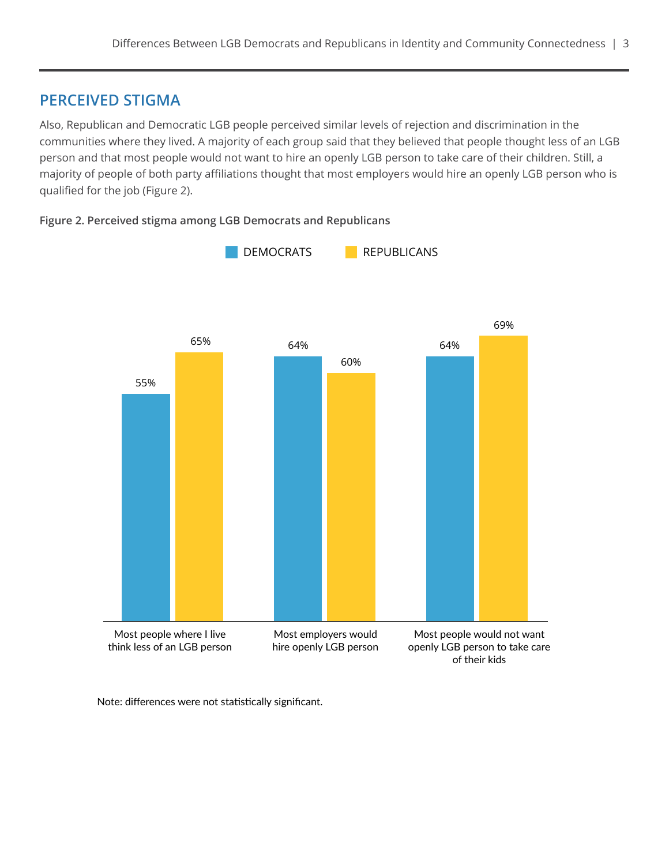#### **PERCEIVED STIGMA**

Also, Republican and Democratic LGB people perceived similar levels of rejection and discrimination in the communities where they lived. A majority of each group said that they believed that people thought less of an LGB person and that most people would not want to hire an openly LGB person to take care of their children. Still, a majority of people of both party affiliations thought that most employers would hire an openly LGB person who is qualified for the job (Figure 2).





Note: differences were not statistically significant.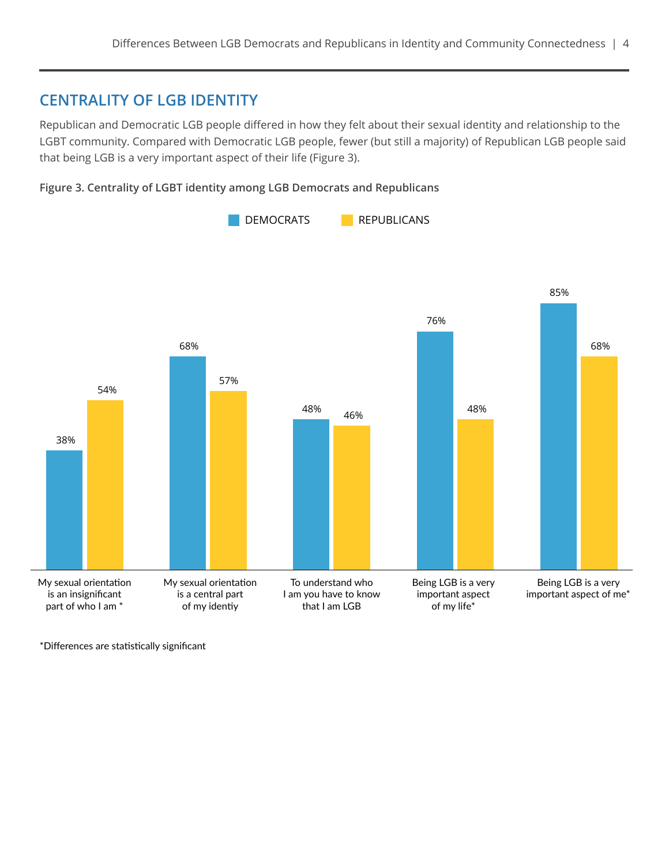### **CENTRALITY OF LGB IDENTITY**

Republican and Democratic LGB people differed in how they felt about their sexual identity and relationship to the LGBT community. Compared with Democratic LGB people, fewer (but still a majority) of Republican LGB people said that being LGB is a very important aspect of their life (Figure 3).





\*Differences are statistically significant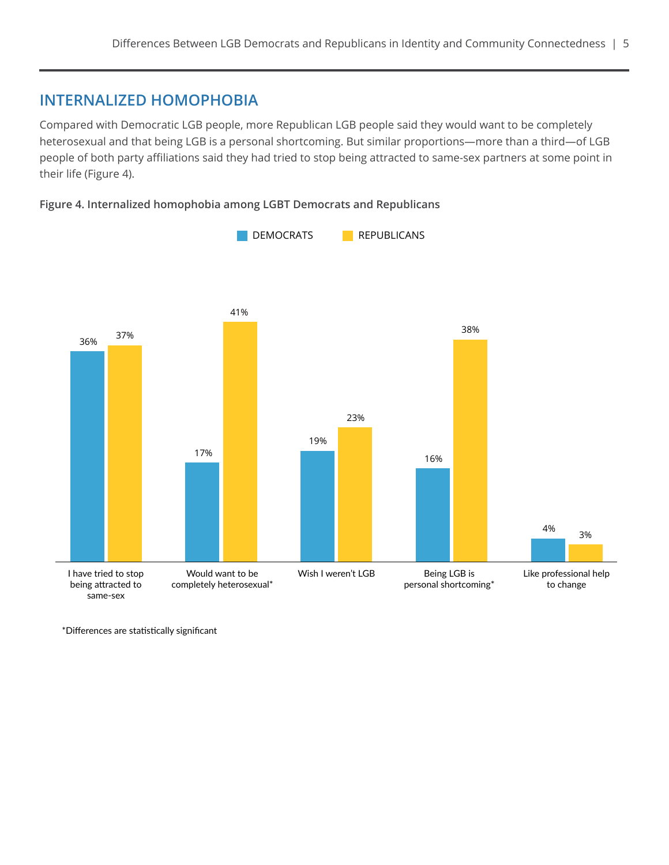#### **INTERNALIZED HOMOPHOBIA**

Compared with Democratic LGB people, more Republican LGB people said they would want to be completely heterosexual and that being LGB is a personal shortcoming. But similar proportions—more than a third—of LGB people of both party affiliations said they had tried to stop being attracted to same-sex partners at some point in their life (Figure 4).

#### **Figure 4. Internalized homophobia among LGBT Democrats and Republicans**



\*Differences are statistically significant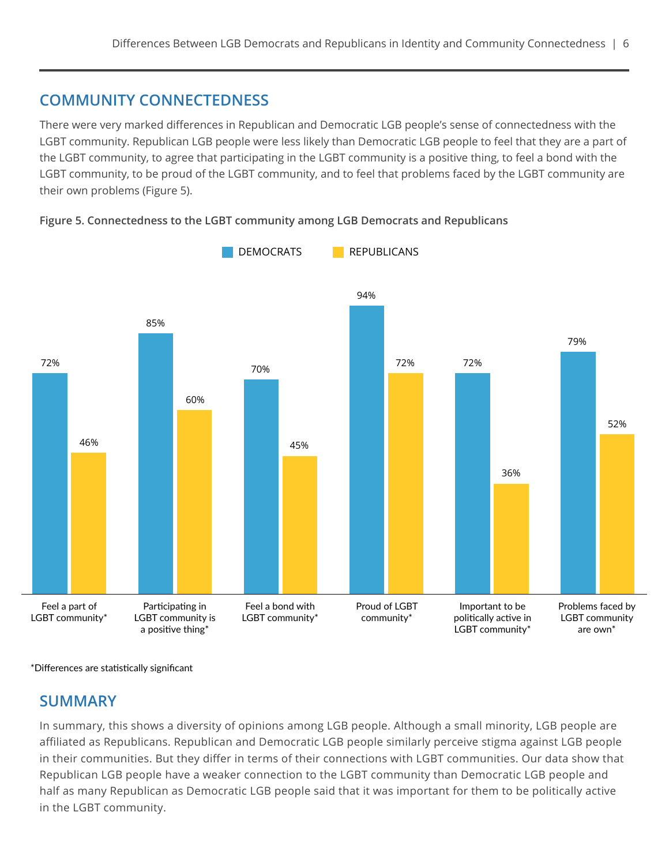### **COMMUNITY CONNECTEDNESS**

There were very marked differences in Republican and Democratic LGB people's sense of connectedness with the LGBT community. Republican LGB people were less likely than Democratic LGB people to feel that they are a part of the LGBT community, to agree that participating in the LGBT community is a positive thing, to feel a bond with the LGBT community, to be proud of the LGBT community, and to feel that problems faced by the LGBT community are their own problems (Figure 5).

Feel a part of LGBT community\* Participating in LGBT community is a positive thing\* Feel a bond with LGBT community\* Proud of LGBT community\* Important to be politically active in LGBT community\* Problems faced by LGBT community are own\* 46% 85% 60% 70% 45% 94% 72% 72% 36% 79% 52% 72% **DEMOCRATS** REPUBLICANS



\*Differences are statistically significant

#### **SUMMARY**

In summary, this shows a diversity of opinions among LGB people. Although a small minority, LGB people are affiliated as Republicans. Republican and Democratic LGB people similarly perceive stigma against LGB people in their communities. But they differ in terms of their connections with LGBT communities. Our data show that Republican LGB people have a weaker connection to the LGBT community than Democratic LGB people and half as many Republican as Democratic LGB people said that it was important for them to be politically active in the LGBT community.